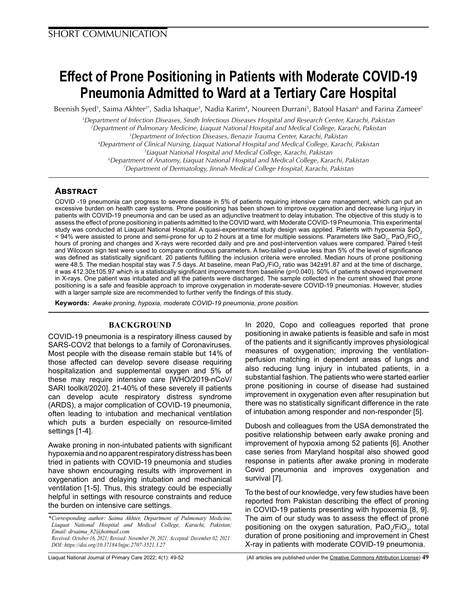# **Effect of Prone Positioning in Patients with Moderate COVID-19 Pneumonia Admitted to Ward at a Tertiary Care Hospital**

Beenish Syed<sup>1</sup>, Saima Akhter<sup>2+</sup>, Sadia Ishaque<sup>3</sup>, Nadia Karim<sup>4</sup>, Noureen Durrani<sup>5</sup>, Batool Hasan<sup>6</sup> and Farina Zameer<sup>7</sup>

 *Department of Infection Diseases, Sindh Infectious Diseases Hospital and Research Center, Karachi, Pakistan Department of Pulmonary Medicine, Liaquat National Hospital and Medical College, Karachi, Pakistan Department of Infection Diseases, Benazir Trauma Center, Karachi, Pakistan Department of Clinical Nursing, Liaquat National Hospital and Medical College, Karachi, Pakistan Liaquat National Hospital and Medical College, Karachi, Pakistan Department of Anatomy, Liaquat National Hospital and Medical College, Karachi, Pakistan*

*7 Department of Dermatology, Jinnah Medical College Hospital, Karachi, Pakistan*

## **Abstract**

COVID -19 pneumonia can progress to severe disease in 5% of patients requiring intensive care management, which can put an excessive burden on health care systems. Prone positioning has been shown to improve oxygenation and decrease lung injury in patients with COVID-19 pneumonia and can be used as an adjunctive treatment to delay intubation. The objective of this study is to assess the effect of prone positioning in patients admitted to the COVID ward, with Moderate COVID-19 Pneumonia. This experimental study was conducted at Liaquat National Hospital. A quasi-experimental study design was applied. Patients with hypoxemia SpO<sub>2</sub> < 94% were assisted to prone and semi-prone for up to 2 hours at a time for multiple sessions. Parameters like SaO<sub>2</sub>, PaO<sub>2</sub>/FiO<sub>2</sub>, hours of proning and changes and X-rays were recorded daily and pre and post-intervention values were compared. Paired t-test and Wilcoxon sign test were used to compare continuous parameters. A two-tailed p-value less than 5% of the level of significance was defined as statistically significant. 20 patients fulfilling the inclusion criteria were enrolled. Median hours of prone positioning were 48.5. The median hospital stay was 7.5 days. At baseline, mean PaO $_2$ /FiO $_2$  ratio was 342±91.87 and at the time of discharge, it was 412.30±105.97 which is a statistically significant improvement from baseline (p=0.040). 50% of patients showed improvement in X-rays. One patient was intubated and all the patients were discharged. The sample collected in the current showed that prone positioning is a safe and feasible approach to improve oxygenation in moderate-severe COVID-19 pneumonias. However, studies with a larger sample size are recommended to further verify the findings of this study.

**Keywords:** *Awake proning, hypoxia, moderate COVID-19 pneumonia, prone position.* 

## **BACKGROUND**

COVID-19 pneumonia is a respiratory illness caused by SARS-COV2 that belongs to a family of Coronaviruses. Most people with the disease remain stable but 14% of those affected can develop severe disease requiring hospitalization and supplemental oxygen and 5% of these may require intensive care [WHO/2019-nCoV/ SARI toolkit/2020]. 21-40% of these severely ill patients can develop acute respiratory distress syndrome (ARDS), a major complication of COVID-19 pneumonia, often leading to intubation and mechanical ventilation which puts a burden especially on resource-limited settings [1-4].

Awake proning in non-intubated patients with significant hypoxemia and no apparent respiratory distress has been tried in patients with COVID-19 pneumonia and studies have shown encouraging results with improvement in oxygenation and delaying intubation and mechanical ventilation [1-5]. Thus, this strategy could be especially helpful in settings with resource constraints and reduce the burden on intensive care settings.

In 2020, Copo and colleagues reported that prone positioning in awake patients is feasible and safe in most of the patients and it significantly improves physiological measures of oxygenation; improving the ventilationperfusion matching in dependent areas of lungs and also reducing lung injury in intubated patients, in a substantial fashion. The patients who were started earlier prone positioning in course of disease had sustained improvement in oxygenation even after resupination but there was no statistically significant difference in the rate of intubation among responder and non-responder [5].

Dubosh and colleagues from the USA demonstrated the positive relationship between early awake proning and improvement of hypoxia among 52 patients [6]. Another case series from Maryland hospital also showed good response in patients after awake proning in moderate Covid pneumonia and improves oxygenation and survival [7].

To the best of our knowledge, very few studies have been reported from Pakistan describing the effect of proning in COVID-19 patients presenting with hypoxemia [8, 9]. The aim of our study was to assess the effect of prone positioning on the oxygen saturation,  $\text{PaO}_2/\text{FiO}_2$ , total duration of prone positioning and improvement in Chest X-ray in patients with moderate COVID-19 pneumonia.

*<sup>\*</sup>Corresponding author: Saima Akhter, Department of Pulmonary Medicine, Liaquat National Hospital and Medical College, Karachi, Pakistan; Email: drsaima\_82@hotmail.com Received: October 16, 2021; Revised: November 29, 2021; Accepted: December 02, 2021*

*DOI: https://doi.org/10.37184/lnjpc.2707-3521.3.27*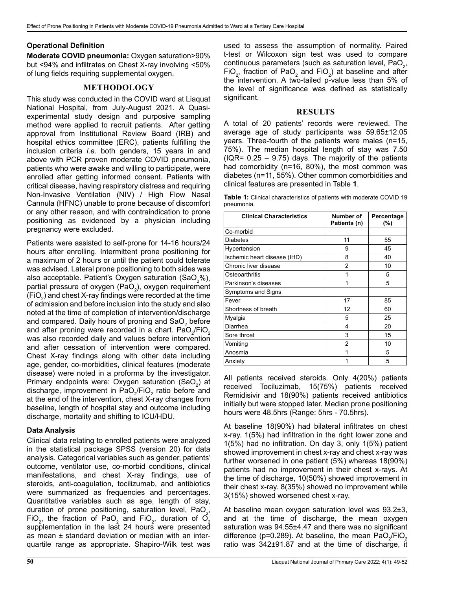### **Operational Definition**

**Moderate COVID pneumonia:** Oxygen saturation>90% but <94% and infiltrates on Chest X-ray involving <50% of lung fields requiring supplemental oxygen.

## **METHODOLOGY**

This study was conducted in the COVID ward at Liaquat National Hospital, from July-August 2021. A Quasiexperimental study design and purposive sampling method were applied to recruit patients. After getting approval from Institutional Review Board (IRB) and hospital ethics committee (ERC), patients fulfilling the inclusion criteria *i.e.* both genders, 15 years in and above with PCR proven moderate COVID pneumonia, patients who were awake and willing to participate, were enrolled after getting informed consent. Patients with critical disease, having respiratory distress and requiring Non-Invasive Ventilation (NIV) / High Flow Nasal Cannula (HFNC) unable to prone because of discomfort or any other reason, and with contraindication to prone positioning as evidenced by a physician including pregnancy were excluded.

Patients were assisted to self-prone for 14-16 hours/24 hours after enrolling. Intermittent prone positioning for a maximum of 2 hours or until the patient could tolerate was advised. Lateral prone positioning to both sides was also acceptable. Patient's Oxygen saturation (SaO $_2$ %), partial pressure of oxygen (PaO $_2$ ), oxygen requirement (FiO $_{\rm 2}$ ) and chest X-ray findings were recorded at the time of admission and before inclusion into the study and also noted at the time of completion of intervention/discharge and compared. Daily hours of proning and SaO $_2^{}$  before and after proning were recorded in a chart. PaO $_2$ /FiO $_2$ was also recorded daily and values before intervention and after cessation of intervention were compared. Chest X-ray findings along with other data including age, gender, co-morbidities, clinical features (moderate disease) were noted in a proforma by the investigator. Primary endpoints were: Oxygen saturation (SaO<sub>2</sub>) at discharge, improvement in PaO $_2$ /FiO $_2$  ratio before and at the end of the intervention, chest X-ray changes from baseline, length of hospital stay and outcome including discharge, mortality and shifting to ICU/HDU.

## **Data Analysis**

Clinical data relating to enrolled patients were analyzed in the statistical package SPSS (version 20) for data analysis. Categorical variables such as gender, patients' outcome, ventilator use, co-morbid conditions, clinical manifestations, and chest X-ray findings, use of steroids, anti-coagulation, tocilizumab, and antibiotics were summarized as frequencies and percentages. Quantitative variables such as age, length of stay, duration of prone positioning, saturation level,  $PaO_2$ , FiO $_2$ , the fraction of PaO $_2$  and FiO $_2$ , duration of O $_2$ supplementation in the last 24 hours were presented as mean ± standard deviation or median with an interquartile range as appropriate. Shapiro-Wilk test was

used to assess the assumption of normality. Paired t-test or Wilcoxon sign test was used to compare continuous parameters (such as saturation level,  $\mathsf{PaO}_2$ , FiO<sub>2</sub>, fraction of PaO<sub>2</sub> and FiO<sub>2</sub>) at baseline and after the intervention. A two-tailed p-value less than 5% of the level of significance was defined as statistically significant.

#### **RESULTS**

A total of 20 patients' records were reviewed. The average age of study participants was 59.65±12.05 years. Three-fourth of the patients were males (n=15, 75%). The median hospital length of stay was 7.50  $(IQR = 0.25 - 9.75)$  days. The majority of the patients had comorbidity (n=16, 80%), the most common was diabetes (n=11, 55%). Other common comorbidities and clinical features are presented in Table **1**.

**Table 1:** Clinical characteristics of patients with moderate COVID 19 pneumonia.

| <b>Clinical Characteristics</b> | Number of<br>Patients (n) | Percentage<br>(%) |
|---------------------------------|---------------------------|-------------------|
| Co-morbid                       |                           |                   |
| <b>Diabetes</b>                 | 11                        | 55                |
| Hypertension                    | 9                         | 45                |
| Ischemic heart disease (IHD)    | 8                         | 40                |
| Chronic liver disease           | $\mathfrak{p}$            | 10                |
| Osteoarthritis                  | 1                         | 5                 |
| Parkinson's diseases            | 1                         | 5                 |
| Symptoms and Signs              |                           |                   |
| Fever                           | 17                        | 85                |
| Shortness of breath             | 12                        | 60                |
| Myalgia                         | 5                         | 25                |
| Diarrhea                        | 4                         | 20                |
| Sore throat                     | 3                         | 15                |
| Vomiting                        | 2                         | 10                |
| Anosmia                         |                           | 5                 |
| Anxiety                         |                           | 5                 |

All patients received steroids. Only 4(20%) patients received Tociluzimab, 15(75%) patients received Remidisivir and 18(90%) patients received antibiotics initially but were stopped later. Median prone positioning hours were 48.5hrs (Range: 5hrs - 70.5hrs).

At baseline 18(90%) had bilateral infiltrates on chest x-ray. 1(5%) had infiltration in the right lower zone and 1(5%) had no infiltration. On day 3, only 1(5%) patient showed improvement in chest x-ray and chest x-ray was further worsened in one patient (5%) whereas 18(90%) patients had no improvement in their chest x-rays. At the time of discharge, 10(50%) showed improvement in their chest x-ray. 8(35%) showed no improvement while 3(15%) showed worsened chest x-ray.

At baseline mean oxygen saturation level was 93.2±3, and at the time of discharge, the mean oxygen saturation was 94.55±4.47 and there was no significant difference (p=0.289). At baseline, the mean PaO $_2$ /FiO $_2$ ratio was 342±91.87 and at the time of discharge, it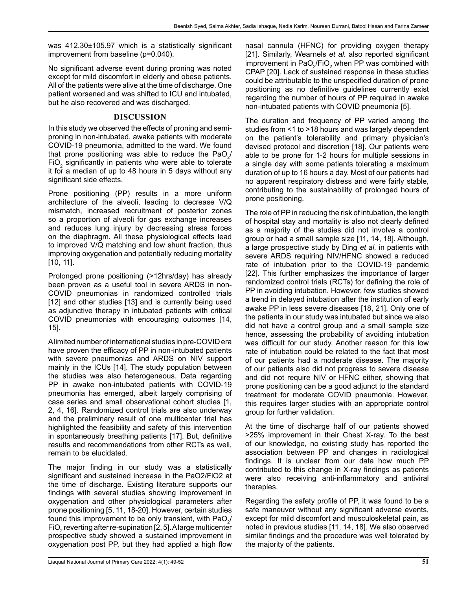was 412.30±105.97 which is a statistically significant improvement from baseline (p=0.040).

No significant adverse event during proning was noted except for mild discomfort in elderly and obese patients. All of the patients were alive at the time of discharge. One patient worsened and was shifted to ICU and intubated, but he also recovered and was discharged.

## **DISCUSSION**

In this study we observed the effects of proning and semiproning in non-intubated, awake patients with moderate COVID-19 pneumonia, admitted to the ward. We found that prone positioning was able to reduce the  $PaO_2/$ FiO<sub>2</sub> significantly in patients who were able to tolerate it for a median of up to 48 hours in 5 days without any significant side effects.

Prone positioning (PP) results in a more uniform architecture of the alveoli, leading to decrease V/Q mismatch, increased recruitment of posterior zones so a proportion of alveoli for gas exchange increases and reduces lung injury by decreasing stress forces on the diaphragm. All these physiological effects lead to improved V/Q matching and low shunt fraction, thus improving oxygenation and potentially reducing mortality [10, 11].

Prolonged prone positioning (>12hrs/day) has already been proven as a useful tool in severe ARDS in non-COVID pneumonias in randomized controlled trials [12] and other studies [13] and is currently being used as adjunctive therapy in intubated patients with critical COVID pneumonias with encouraging outcomes [14, 15].

A limited number of international studies in pre-COVID era have proven the efficacy of PP in non-intubated patients with severe pneumonias and ARDS on NIV support mainly in the ICUs [14]. The study population between the studies was also heterogeneous. Data regarding PP in awake non-intubated patients with COVID-19 pneumonia has emerged, albeit largely comprising of case series and small observational cohort studies [1, 2, 4, 16]. Randomized control trials are also underway and the preliminary result of one multicenter trial has highlighted the feasibility and safety of this intervention in spontaneously breathing patients [17]. But, definitive results and recommendations from other RCTs as well, remain to be elucidated.

The major finding in our study was a statistically significant and sustained increase in the PaO2/FiO2 at the time of discharge. Existing literature supports our findings with several studies showing improvement in oxygenation and other physiological parameters after prone positioning [5, 11, 18-20]. However, certain studies found this improvement to be only transient, with PaO $_{\rm 2}^{\rm}/$ FiO $_{\tiny 2}$  reverting after re-supination [2, 5]. A large multicenter prospective study showed a sustained improvement in oxygenation post PP, but they had applied a high flow

nasal cannula (HFNC) for providing oxygen therapy [21]. Similarly, Wearnels *et al.* also reported significant improvement in PaO $_2$ /FiO $_2$  when PP was combined with CPAP [20]. Lack of sustained response in these studies could be attributable to the unspecified duration of prone positioning as no definitive guidelines currently exist regarding the number of hours of PP required in awake non-intubated patients with COVID pneumonia [5].

The duration and frequency of PP varied among the studies from <1 to >18 hours and was largely dependent on the patient's tolerability and primary physician's devised protocol and discretion [18]. Our patients were able to be prone for 1-2 hours for multiple sessions in a single day with some patients tolerating a maximum duration of up to 16 hours a day. Most of our patients had no apparent respiratory distress and were fairly stable, contributing to the sustainability of prolonged hours of prone positioning.

The role of PP in reducing the risk of intubation, the length of hospital stay and mortality is also not clearly defined as a majority of the studies did not involve a control group or had a small sample size [11, 14, 18]. Although, a large prospective study by Ding *et al.* in patients with severe ARDS requiring NIV/HFNC showed a reduced rate of intubation prior to the COVID-19 pandemic [22]. This further emphasizes the importance of larger randomized control trials (RCTs) for defining the role of PP in avoiding intubation. However, few studies showed a trend in delayed intubation after the institution of early awake PP in less severe diseases [18, 21]. Only one of the patients in our study was intubated but since we also did not have a control group and a small sample size hence, assessing the probability of avoiding intubation was difficult for our study. Another reason for this low rate of intubation could be related to the fact that most of our patients had a moderate disease. The majority of our patients also did not progress to severe disease and did not require NIV or HFNC either, showing that prone positioning can be a good adjunct to the standard treatment for moderate COVID pneumonia. However, this requires larger studies with an appropriate control group for further validation.

At the time of discharge half of our patients showed >25% improvement in their Chest X-ray. To the best of our knowledge, no existing study has reported the association between PP and changes in radiological findings. It is unclear from our data how much PP contributed to this change in X-ray findings as patients were also receiving anti-inflammatory and antiviral therapies.

Regarding the safety profile of PP, it was found to be a safe maneuver without any significant adverse events, except for mild discomfort and musculoskeletal pain, as noted in previous studies [11, 14, 18]. We also observed similar findings and the procedure was well tolerated by the majority of the patients.